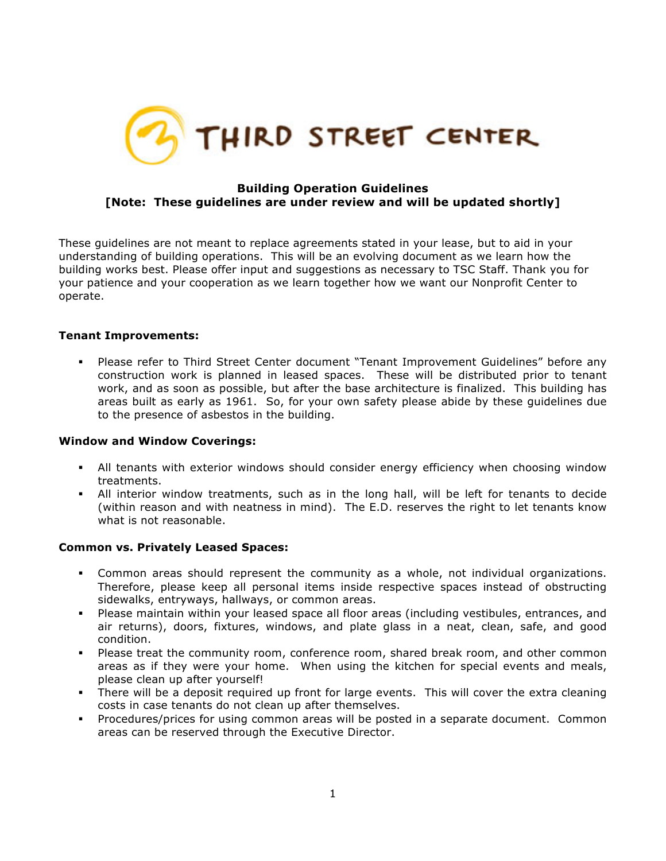

# **Building Operation Guidelines [Note: These guidelines are under review and will be updated shortly]**

These guidelines are not meant to replace agreements stated in your lease, but to aid in your understanding of building operations. This will be an evolving document as we learn how the building works best. Please offer input and suggestions as necessary to TSC Staff. Thank you for your patience and your cooperation as we learn together how we want our Nonprofit Center to operate.

## **Tenant Improvements:**

§ Please refer to Third Street Center document "Tenant Improvement Guidelines" before any construction work is planned in leased spaces. These will be distributed prior to tenant work, and as soon as possible, but after the base architecture is finalized. This building has areas built as early as 1961. So, for your own safety please abide by these guidelines due to the presence of asbestos in the building.

#### **Window and Window Coverings:**

- All tenants with exterior windows should consider energy efficiency when choosing window treatments.
- All interior window treatments, such as in the long hall, will be left for tenants to decide (within reason and with neatness in mind). The E.D. reserves the right to let tenants know what is not reasonable.

#### **Common vs. Privately Leased Spaces:**

- Common areas should represent the community as a whole, not individual organizations. Therefore, please keep all personal items inside respective spaces instead of obstructing sidewalks, entryways, hallways, or common areas.
- § Please maintain within your leased space all floor areas (including vestibules, entrances, and air returns), doors, fixtures, windows, and plate glass in a neat, clean, safe, and good condition.
- § Please treat the community room, conference room, shared break room, and other common areas as if they were your home. When using the kitchen for special events and meals, please clean up after yourself!
- There will be a deposit required up front for large events. This will cover the extra cleaning costs in case tenants do not clean up after themselves.
- § Procedures/prices for using common areas will be posted in a separate document. Common areas can be reserved through the Executive Director.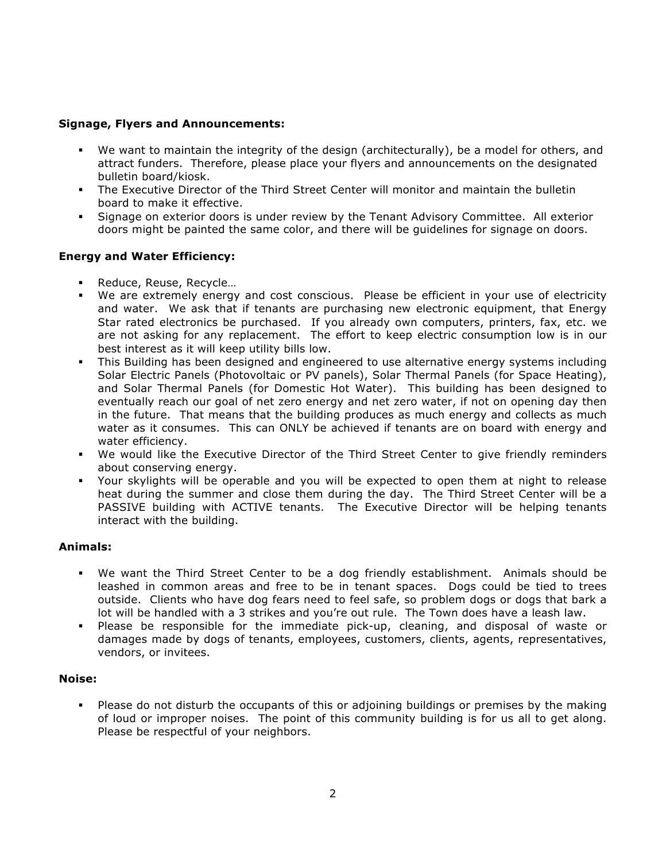## **Signage, Flyers and Announcements:**

- § We want to maintain the integrity of the design (architecturally), be a model for others, and attract funders. Therefore, please place your flyers and announcements on the designated bulletin board/kiosk.
- The Executive Director of the Third Street Center will monitor and maintain the bulletin board to make it effective.
- § Signage on exterior doors is under review by the Tenant Advisory Committee. All exterior doors might be painted the same color, and there will be guidelines for signage on doors.

# **Energy and Water Efficiency:**

- § Reduce, Reuse, Recycle…
- § We are extremely energy and cost conscious. Please be efficient in your use of electricity and water. We ask that if tenants are purchasing new electronic equipment, that Energy Star rated electronics be purchased. If you already own computers, printers, fax, etc. we are not asking for any replacement. The effort to keep electric consumption low is in our best interest as it will keep utility bills low.
- § This Building has been designed and engineered to use alternative energy systems including Solar Electric Panels (Photovoltaic or PV panels), Solar Thermal Panels (for Space Heating), and Solar Thermal Panels (for Domestic Hot Water). This building has been designed to eventually reach our goal of net zero energy and net zero water, if not on opening day then in the future. That means that the building produces as much energy and collects as much water as it consumes. This can ONLY be achieved if tenants are on board with energy and water efficiency.
- We would like the Executive Director of the Third Street Center to give friendly reminders about conserving energy.
- § Your skylights will be operable and you will be expected to open them at night to release heat during the summer and close them during the day. The Third Street Center will be a PASSIVE building with ACTIVE tenants. The Executive Director will be helping tenants interact with the building.

# **Animals:**

- We want the Third Street Center to be a dog friendly establishment. Animals should be leashed in common areas and free to be in tenant spaces. Dogs could be tied to trees outside. Clients who have dog fears need to feel safe, so problem dogs or dogs that bark a lot will be handled with a 3 strikes and you're out rule. The Town does have a leash law.
- § Please be responsible for the immediate pick-up, cleaning, and disposal of waste or damages made by dogs of tenants, employees, customers, clients, agents, representatives, vendors, or invitees.

## **Noise:**

• Please do not disturb the occupants of this or adjoining buildings or premises by the making of loud or improper noises. The point of this community building is for us all to get along. Please be respectful of your neighbors.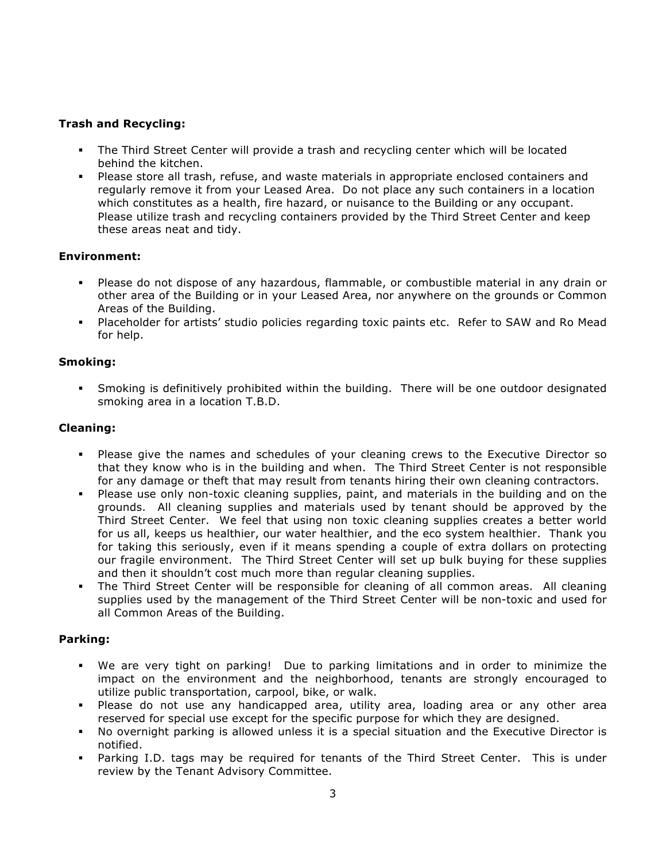# **Trash and Recycling:**

- The Third Street Center will provide a trash and recycling center which will be located behind the kitchen.
- Please store all trash, refuse, and waste materials in appropriate enclosed containers and regularly remove it from your Leased Area. Do not place any such containers in a location which constitutes as a health, fire hazard, or nuisance to the Building or any occupant. Please utilize trash and recycling containers provided by the Third Street Center and keep these areas neat and tidy.

## **Environment:**

- § Please do not dispose of any hazardous, flammable, or combustible material in any drain or other area of the Building or in your Leased Area, nor anywhere on the grounds or Common Areas of the Building.
- § Placeholder for artists' studio policies regarding toxic paints etc. Refer to SAW and Ro Mead for help.

# **Smoking:**

§ Smoking is definitively prohibited within the building. There will be one outdoor designated smoking area in a location T.B.D.

# **Cleaning:**

- Please give the names and schedules of your cleaning crews to the Executive Director so that they know who is in the building and when. The Third Street Center is not responsible for any damage or theft that may result from tenants hiring their own cleaning contractors.
- § Please use only non-toxic cleaning supplies, paint, and materials in the building and on the grounds. All cleaning supplies and materials used by tenant should be approved by the Third Street Center. We feel that using non toxic cleaning supplies creates a better world for us all, keeps us healthier, our water healthier, and the eco system healthier. Thank you for taking this seriously, even if it means spending a couple of extra dollars on protecting our fragile environment. The Third Street Center will set up bulk buying for these supplies and then it shouldn't cost much more than regular cleaning supplies.
- The Third Street Center will be responsible for cleaning of all common areas. All cleaning supplies used by the management of the Third Street Center will be non-toxic and used for all Common Areas of the Building.

## **Parking:**

- We are very tight on parking! Due to parking limitations and in order to minimize the impact on the environment and the neighborhood, tenants are strongly encouraged to utilize public transportation, carpool, bike, or walk.
- § Please do not use any handicapped area, utility area, loading area or any other area reserved for special use except for the specific purpose for which they are designed.
- § No overnight parking is allowed unless it is a special situation and the Executive Director is notified.
- § Parking I.D. tags may be required for tenants of the Third Street Center. This is under review by the Tenant Advisory Committee.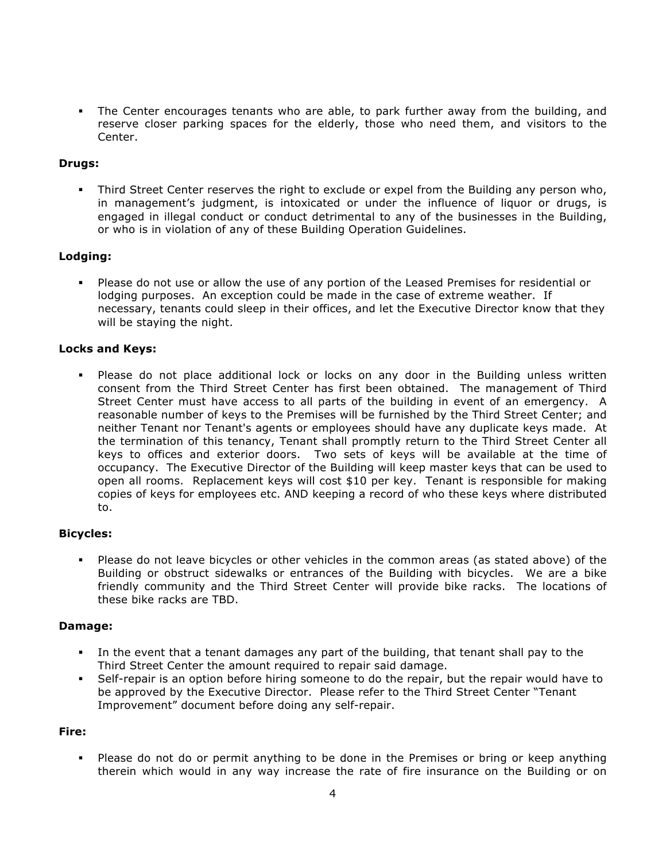The Center encourages tenants who are able, to park further away from the building, and reserve closer parking spaces for the elderly, those who need them, and visitors to the Center.

### **Drugs:**

Third Street Center reserves the right to exclude or expel from the Building any person who, in management's judgment, is intoxicated or under the influence of liquor or drugs, is engaged in illegal conduct or conduct detrimental to any of the businesses in the Building, or who is in violation of any of these Building Operation Guidelines.

### **Lodging:**

Please do not use or allow the use of any portion of the Leased Premises for residential or lodging purposes. An exception could be made in the case of extreme weather. If necessary, tenants could sleep in their offices, and let the Executive Director know that they will be staying the night.

### **Locks and Keys:**

• Please do not place additional lock or locks on any door in the Building unless written consent from the Third Street Center has first been obtained. The management of Third Street Center must have access to all parts of the building in event of an emergency. A reasonable number of keys to the Premises will be furnished by the Third Street Center; and neither Tenant nor Tenant's agents or employees should have any duplicate keys made. At the termination of this tenancy, Tenant shall promptly return to the Third Street Center all keys to offices and exterior doors. Two sets of keys will be available at the time of occupancy. The Executive Director of the Building will keep master keys that can be used to open all rooms. Replacement keys will cost \$10 per key. Tenant is responsible for making copies of keys for employees etc. AND keeping a record of who these keys where distributed to.

#### **Bicycles:**

Please do not leave bicycles or other vehicles in the common areas (as stated above) of the Building or obstruct sidewalks or entrances of the Building with bicycles. We are a bike friendly community and the Third Street Center will provide bike racks. The locations of these bike racks are TBD.

#### **Damage:**

- In the event that a tenant damages any part of the building, that tenant shall pay to the Third Street Center the amount required to repair said damage.
- Self-repair is an option before hiring someone to do the repair, but the repair would have to be approved by the Executive Director. Please refer to the Third Street Center "Tenant Improvement" document before doing any self-repair.

#### **Fire:**

Please do not do or permit anything to be done in the Premises or bring or keep anything therein which would in any way increase the rate of fire insurance on the Building or on